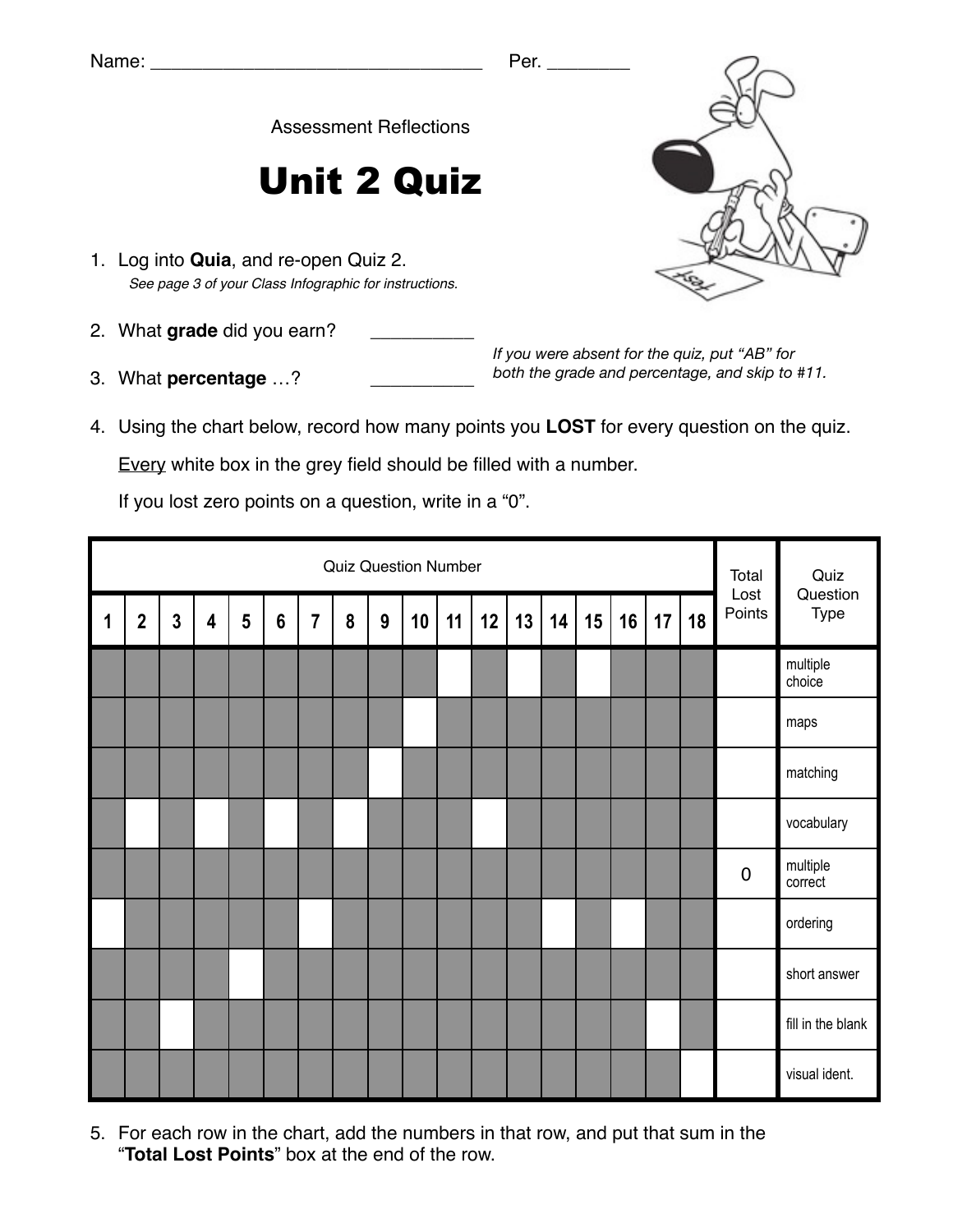Assessment Reflections

## Unit 2 Quiz

- 1. Log into **Quia**, and re-open Quiz 2. *See page 3 of your Class Infographic for instructions.*
- 2. What grade did you earn?
- 3. What **percentage** ...?

*If you were absent for the quiz, put "AB" for both the grade and percentage, and skip to #11.*

4. Using the chart below, record how many points you **LOST** for every question on the quiz.

Every white box in the grey field should be filled with a number.

If you lost zero points on a question, write in a "0".

|             | <b>Quiz Question Number</b> |                |                         |                 |                 |                |   |   |    |    |    |    |    |    |    |    | Total<br>Lost | Quiz<br>Question |                     |
|-------------|-----------------------------|----------------|-------------------------|-----------------|-----------------|----------------|---|---|----|----|----|----|----|----|----|----|---------------|------------------|---------------------|
| $\mathbf 1$ | $\mathbf{2}$                | $\overline{3}$ | $\overline{\mathbf{4}}$ | $5\phantom{.0}$ | $6\phantom{1}6$ | $\overline{7}$ | 8 | 9 | 10 | 11 | 12 | 13 | 14 | 15 | 16 | 17 | 18            | Points           | Type                |
|             |                             |                |                         |                 |                 |                |   |   |    |    |    |    |    |    |    |    |               |                  | multiple<br>choice  |
|             |                             |                |                         |                 |                 |                |   |   |    |    |    |    |    |    |    |    |               |                  | maps                |
|             |                             |                |                         |                 |                 |                |   |   |    |    |    |    |    |    |    |    |               |                  | matching            |
|             |                             |                |                         |                 |                 |                |   |   |    |    |    |    |    |    |    |    |               |                  | vocabulary          |
|             |                             |                |                         |                 |                 |                |   |   |    |    |    |    |    |    |    |    |               | $\pmb{0}$        | multiple<br>correct |
|             |                             |                |                         |                 |                 |                |   |   |    |    |    |    |    |    |    |    |               |                  | ordering            |
|             |                             |                |                         |                 |                 |                |   |   |    |    |    |    |    |    |    |    |               |                  | short answer        |
|             |                             |                |                         |                 |                 |                |   |   |    |    |    |    |    |    |    |    |               |                  | fill in the blank   |
|             |                             |                |                         |                 |                 |                |   |   |    |    |    |    |    |    |    |    |               |                  | visual ident.       |

5. For each row in the chart, add the numbers in that row, and put that sum in the "**Total Lost Points**" box at the end of the row.